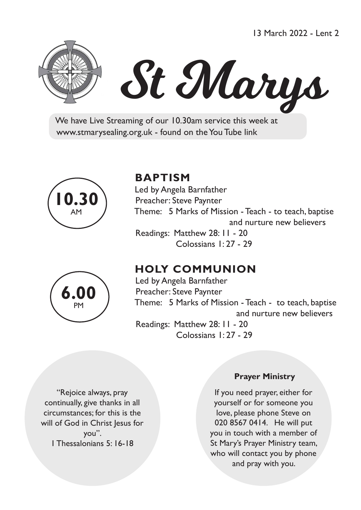13 March 2022 - Lent 2



# St Marys

 We have Live Streaming of our 10.30am service this week at www.stmarysealing.org.uk - found on the You Tube link



# **BAPTISM**

 Led by Angela Barnfather Preacher: Steve Paynter Theme: 5 Marks of Mission - Teach - to teach, baptise and nurture new believers Readings: Matthew 28: 11 - 20 Colossians 1: 27 - 29

# **HOLY COMMUNION**

 Led by Angela Barnfather Preacher: Steve Paynter Theme: 5 Marks of Mission - Teach - to teach, baptise and nurture new believers Readings: Matthew 28: 11 - 20

Colossians 1: 27 - 29

"Rejoice always, pray continually, give thanks in all circumstances; for this is the will of God in Christ Jesus for you". 1 Thessalonians 5: 16-18

### **Prayer Ministry**

If you need prayer, either for yourself or for someone you love, please phone Steve on 020 8567 0414. He will put you in touch with a member of St Mary's Prayer Ministry team, who will contact you by phone and pray with you.

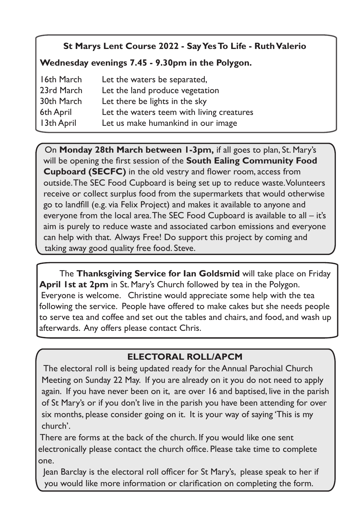# **St Marys Lent Course 2022 - Say Yes To Life - Ruth Valerio**

### **Wednesday evenings 7.45 - 9.30pm in the Polygon.**

| 16th March | Let the waters be separated,              |
|------------|-------------------------------------------|
| 23rd March | Let the land produce vegetation           |
| 30th March | Let there be lights in the sky            |
| 6th April  | Let the waters teem with living creatures |
| 13th April | Let us make humankind in our image        |

On **Monday 28th March between 1-3pm,** if all goes to plan, St. Mary's will be opening the first session of the **South Ealing Community Food Cupboard (SECFC)** in the old vestry and flower room, access from outside. The SEC Food Cupboard is being set up to reduce waste. Volunteers receive or collect surplus food from the supermarkets that would otherwise go to landfill (e.g. via Felix Project) and makes it available to anyone and everyone from the local area. The SEC Food Cupboard is available to all – it's aim is purely to reduce waste and associated carbon emissions and everyone can help with that. Always Free! Do support this project by coming and taking away good quality free food. Steve.

The **Thanksgiving Service for Ian Goldsmid** will take place on Friday **April 1st at 2pm** in St. Mary's Church followed by tea in the Polygon. Everyone is welcome. Christine would appreciate some help with the tea following the service. People have offered to make cakes but she needs people to serve tea and coffee and set out the tables and chairs, and food, and wash up afterwards. Any offers please contact Chris.

# **ELECTORAL ROLL/APCM**

The electoral roll is being updated ready for the Annual Parochial Church Meeting on Sunday 22 May. If you are already on it you do not need to apply again. If you have never been on it, are over 16 and baptised, live in the parish of St Mary's or if you don't live in the parish you have been attending for over six months, please consider going on it. It is your way of saying 'This is my church'.

There are forms at the back of the church. If you would like one sent electronically please contact the church office. Please take time to complete one.

Jean Barclay is the electoral roll officer for St Mary's, please speak to her if you would like more information or clarification on completing the form.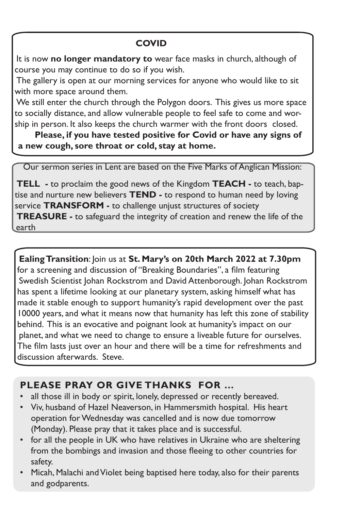# **COVID**

It is now **no longer mandatory to** wear face masks in church, although of course you may continue to do so if you wish.

The gallery is open at our morning services for anyone who would like to sit with more space around them.

We still enter the church through the Polygon doors. This gives us more space to socially distance, and allow vulnerable people to feel safe to come and worship in person. It also keeps the church warmer with the front doors closed.

**Please, if you have tested positive for Covid or have any signs of a new cough, sore throat or cold, stay at home.** 

Our sermon series in Lent are based on the Five Marks of Anglican Mission:

**TELL -** to proclaim the good news of the Kingdom **TEACH -** to teach, baptise and nurture new believers **TEND -** to respond to human need by loving service **TRANSFORM -** to challenge unjust structures of society

**TREASURE -** to safeguard the integrity of creation and renew the life of the earth

**Ealing Transition**: Join us at **St. Mary's on 20th March 2022 at 7.30pm**  for a screening and discussion of "Breaking Boundaries", a film featuring Swedish Scientist Johan Rockstrom and David Attenborough. Johan Rockstrom has spent a lifetime looking at our planetary system, asking himself what has made it stable enough to support humanity's rapid development over the past 10000 years, and what it means now that humanity has left this zone of stability behind. This is an evocative and poignant look at humanity's impact on our planet, and what we need to change to ensure a liveable future for ourselves. The film lasts just over an hour and there will be a time for refreshments and discussion afterwards. Steve.

# **PLEASE PRAY OR GIVE THANKS FOR …**

- all those ill in body or spirit, lonely, depressed or recently bereaved.
- Viv, husband of Hazel Neaverson, in Hammersmith hospital. His heart operation for Wednesday was cancelled and is now due tomorrow (Monday). Please pray that it takes place and is successful.
- for all the people in UK who have relatives in Ukraine who are sheltering from the bombings and invasion and those fleeing to other countries for safety.
- Micah, Malachi and Violet being baptised here today, also for their parents and godparents.